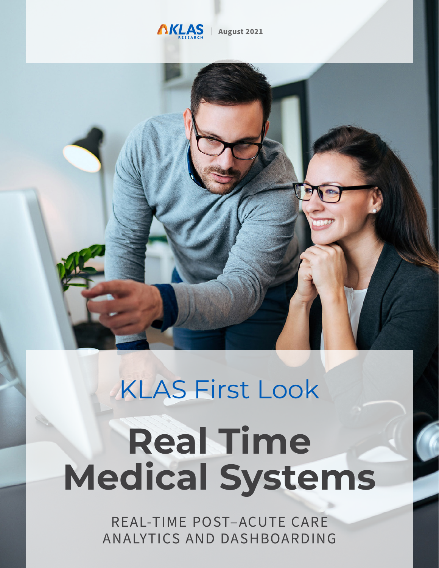

| **August 2021**



# KLAS First Look **Real Time Medical Systems**

REAL-TIME POST-ACUTE CARE ANALYTICS AND DASHBOARDING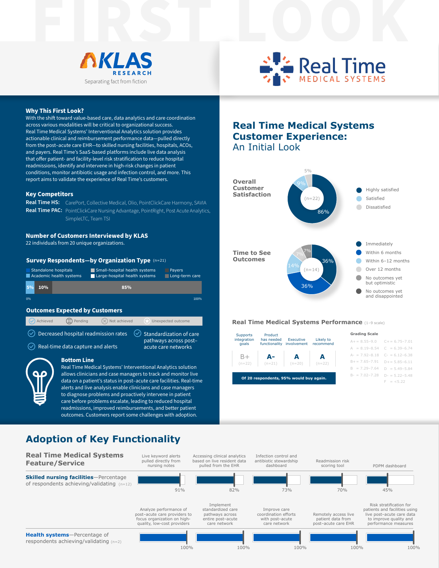



#### **Why This First Look?**

With the shift toward value-based care, data analytics and care coordination across various modalities will be critical to organizational success. Real Time Medical Systems' Interventional Analytics solution provides actionable clinical and reimbursement performance data—pulled directly from the post–acute care EHR—to skilled nursing facilities, hospitals, ACOs, and payers. Real Time's SaaS-based platforms include live data analysis that offer patient- and facility-level risk stratification to reduce hospital readmissions, identify and intervene in high-risk changes in patient conditions, monitor antibiotic usage and infection control, and more. This report aims to validate the experience of Real Time's customers.

#### **Key Competitors**

**Real Time HS:**  CarePort, Collective Medical, Olio, PointClickCare Harmony, SAVIA Real Time PAC: PointClickCare Nursing Advantage, PointRight, Post Acute Analytics, SimpleLTC, Team TSI

#### **Number of Customers Interviewed by KLAS**

22 individuals from 20 unique organizations.

#### **Survey Respondents—by Organization Type** (n=21)

|    |        | Standalone hospitals<br>Academic health systems | Small-hospital health systems<br>Large-hospital health systems | <b>Pavers</b><br>Long-term care |
|----|--------|-------------------------------------------------|----------------------------------------------------------------|---------------------------------|
| 5% | $10\%$ |                                                 | 85%                                                            |                                 |
| 0% |        |                                                 |                                                                | 100%                            |

#### **Outcomes Expected by Customers**

| Achieved                             | Pending                                                   | $(\times)$ Not achieved |  | Unexpected outcome                           |
|--------------------------------------|-----------------------------------------------------------|-------------------------|--|----------------------------------------------|
| Decreased hospital readmission rates | Standardization of care                                   |                         |  |                                              |
|                                      | $\left(\sqrt{2}\right)$ Real-time data capture and alerts |                         |  | pathways across post-<br>acute care networks |
|                                      | <b>Bottom Line</b>                                        |                         |  |                                              |

Real Time Medical Systems' Interventional Analytics solution allows clinicians and case managers to track and monitor live data on a patient's status in post–acute care facilities. Real-time alerts and live analysis enable clinicians and case managers to diagnose problems and proactively intervene in patient care before problems escalate, leading to reduced hospital readmissions, improved reimbursements, and better patient outcomes. Customers report some challenges with adoption.

### **Real Time Medical Systems Customer Experience:**  An Initial Look



#### **Real Time Medical Systems Performance** (1–9 scale)

| <b>Supports</b>                         | Product<br>has needed<br>functionality | Executive<br>involvement   | Likely to<br>recommend | <b>Grading Scale</b>                |  |  |
|-----------------------------------------|----------------------------------------|----------------------------|------------------------|-------------------------------------|--|--|
| integration<br>goals                    |                                        |                            |                        | $A+=8.55-9.0$ $C+=6.75-7.01$        |  |  |
|                                         |                                        |                            |                        | $A = 8.19 - 8.54$ $C = 6.39 - 6.74$ |  |  |
| $B+$                                    | А-                                     | $(n=21)$ $(n=20)$ $(n=22)$ |                        | $A- = 7.92-8.18$ $C- = 6.12-6.38$   |  |  |
| $(n=22)$                                |                                        |                            |                        | $B+= 7.65 - 7.91$ $D+= 5.85 - 6.11$ |  |  |
|                                         |                                        |                            |                        | $B = 7.29 - 7.64$ $D = 5.49 - 5.84$ |  |  |
| Of 20 respondents, 95% would buy again. | $D = 5.22 - 5.48$                      |                            |                        |                                     |  |  |
|                                         | $F = <5.22$                            |                            |                        |                                     |  |  |
|                                         |                                        |                            |                        |                                     |  |  |

## **Adoption of Key Functionality**

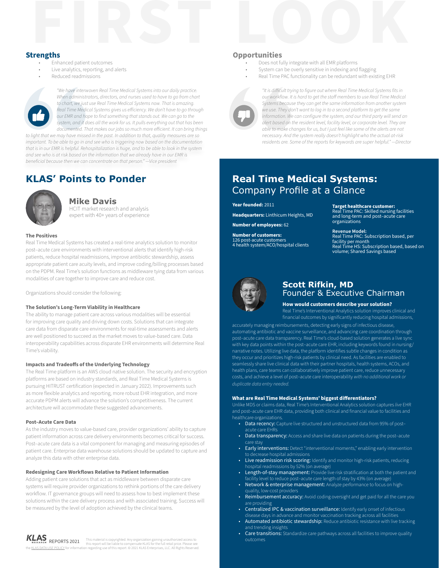

- Enhanced patient outcomes
- Live analytics, reporting, and alerts
- Reduced readmissions



*"We have interwoven Real Time Medical Systems into our daily practice. When administrators, directors, and nurses used to have to go from chart to chart, we just use Real Time Medical Systems now. That is amazing. Real Time Medical Systems gives us efficiency. We don't have to go through our EMR and hope to find something that stands out. We can go to the system, and it does all the work for us. It pulls everything out that has been documented. That makes our jobs so much more efficient. It can bring things*

*to light that we may have missed in the past. In addition to that, quality measures are so important. To be able to go in and see who is triggering now based on the documentation that is in our EMR is helpful. Rehospitalization is huge, and to be able to look in the system and see who is at risk based on the information that we already have in our EMR is beneficial because then we can concentrate on that person." —Vice president*

## **KLAS' Points to Ponder**



#### **Mike Davis**

HCIT market research and analysis expert with 40+ years of experience

#### **The Positives**

Real Time Medical Systems has created a real-time analytics solution to monitor post–acute care environments with interventional alerts that identify high-risk patients, reduce hospital readmissions, improve antibiotic stewardship, assess appropriate patient care acuity levels, and improve coding/billing processes based on the PDPM. Real Time's solution functions as middleware tying data from various modalities of care together to improve care and reduce cost.

Organizations should consider the following:

#### **The Solution's Long-Term Viability in Healthcare**

The ability to manage patient care across various modalities will be essential for improving care quality and driving down costs. Solutions that can integrate care data from disparate care environments for real-time assessments and alerts are well positioned to succeed as the market moves to value-based care. Data interoperability capabilities across disparate EHR environments will determine Real Time's viability.

#### **Impacts and Tradeoffs of the Underlying Technology**

The Real Time platform is an AWS cloud native solution. The security and encryption platforms are based on industry standards, and Real Time Medical Systems is pursuing HITRUST certification (expected in January 2022). Improvements such as more flexible analytics and reporting, more robust EHR integration, and more accurate PDPM alerts will advance the solution's competitiveness. The current architecture will accommodate these suggested advancements.

#### **Post–Acute Care Data**

As the industry moves to value-based care, provider organizations' ability to capture patient information across care delivery environments becomes critical for success. Post–acute care data is a vital component for managing and measuring episodes of patient care. Enterprise data warehouse solutions should be updated to capture and analyze this data with other enterprise data.

#### **Redesigning Care Workflows Relative to Patient Information**

Adding patient care solutions that act as middleware between disparate care systems will require provider organizations to rethink portions of the care delivery workflow. IT governance groups will need to assess how to best implement these solutions within the care delivery process and with associated training. Success will be measured by the level of adoption achieved by the clinical teams.

## **FIRST LOOKING SUPPORTER**<br>**FIRST LOOKING SUPPORTER Opportunities**

- Does not fully integrate with all EMR platforms
- System can be overly sensitive in indexing and flagging
- Real Time PAC functionality can be redundant with existing EHR



*"It is difficult trying to figure out where Real Time Medical Systems fits in our workflow. It is hard to get the staff members to use Real Time Medical Systems because they can get the same information from another system we use. They don't want to log in to a second platform to get the same*  information. We can configure the system, and our third party will send an *alert based on the resident level, facility level, or corporate level. They are able to make changes for us, but I just feel like some of the alerts are not necessary. And the system really doesn't highlight who the actual at-risk residents are. Some of the reports for keywords are super helpful." —Director*

### **Real Time Medical Systems:**  Company Profile at a Glance

**Year founded:** 2011

**Headquarters:** Linthicum Heights, MD

**Number of employees:** 62

**Number of customers:**  126 post-acute customers 4 health system/ACO/hospital clients

#### **Target healthcare customer:**

Real Time PAC: Skilled nursing facilities and long-term and post–acute care organizations

#### **Revenue Model:**

Real Time PAC: Subscription based, per facility per month Real Time HS: Subscription based, based on volume; Shared Savings based



### **Scott Rifkin, MD**  Founder & Executive Chairman

**How would customers describe your solution?**

Real Time's Interventional Analytics solution improves clinical and financial outcomes by significantly reducing hospital admissions,

accurately managing reimbursements, detecting early signs of infectious disease, automating antibiotic and vaccine surveillance, and advancing care coordination through post–acute care data transparency. Real Time's cloud-based solution generates a live sync with key data points within the post–acute care EHR, including keywords found in nursing/ narrative notes. Utilizing live data, the platform identifies subtle changes in condition as they occur and prioritizes high-risk patients by clinical need. As facilities are enabled to seamlessly share live clinical data with their partner hospitals, health systems, ACOs, and health plans, care teams can collaboratively improve patient care, reduce unnecessary costs, and achieve a level of post–acute care interoperability *with no additional work or duplicate data entry needed.*

#### **What are Real Time Medical Systems' biggest differentiators?**

Unlike MDS or claims data, Real Time's Interventional Analytics solution captures *live* EHR and post–acute care EHR data, providing both clinical and financial value to facilities and healthcare organizations.

- Data recency: Capture live structured and unstructured data from 95% of post– acute care EHRs
- Data transparency: Access and share live data on patients during the post-acute care stay
- Early interventions: Detect "interventional moments," enabling early intervention to decrease hospital admissions
- Live readmission risk scoring: Identify and monitor high-risk patients, reducing hospital readmissions by 52% (on average)
- Length-of-stay management: Provide live risk stratification at both the patient and facility level to reduce post–acute care length of stay by 43% (on average)
- Network & enterprise management: Analyze performance to focus on highquality, low-cost providers
- Reimbursement accuracy: Avoid coding oversight and get paid for all the care you are providing
- Centralized IPC & vaccination surveillance: Identify early onset of infectious disease days in advance and monitor vaccination tracking across all facilities
- Automated antibiotic stewardship: Reduce antibiotic resistance with live tracking and trending insights
- Care transitions: Standardize care pathways across all facilities to improve quality outcomes